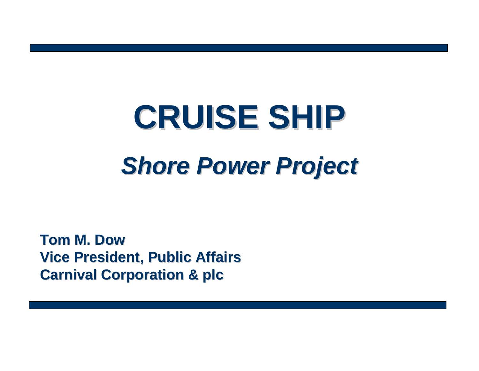# **CRUISE SHIP CRUISE SHIP** *Shore Power Project Shore Power Project*

**Tom M. Dow Tom M. DowVice President, Public Affairs Vice President, Public Affairs Carnival Corporation & plc**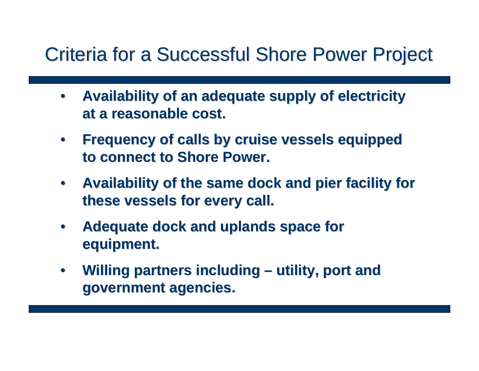- •**Availability of an adequate supply of electricity at a reasonable cost. at a reasonable cost.**
- **Frequency of calls by cruise vessels equipped Frequency of calls by cruise vessels equipped to connect to Shore Power. to connect to Shore Power.**
- **Availability of the same dock and pier facility for these vessels for every call. these vessels for every call.**
- •Adequate dock and uplands space for **equipment. equipment.**
- **Willing partners including – utility, port and utility, port and government agencies. government agencies.**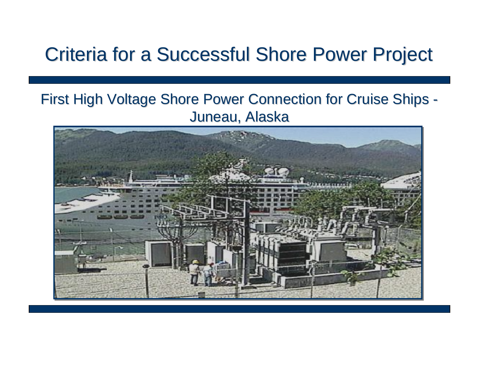#### First High Voltage Shore Power Connection for Cruise Ships - Juneau, Alaska

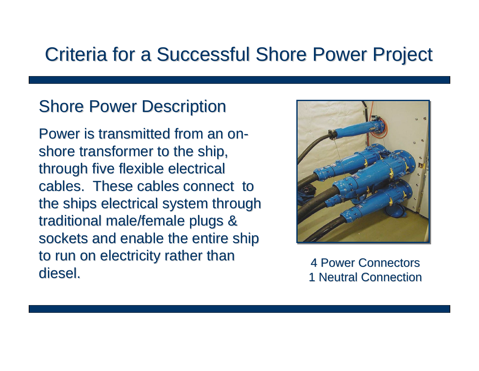### **Shore Power Description**

Power is transmitted from an onshore transformer to the ship, through five flexible electrical cables. These cables connect to the ships electrical system through traditional male/female plugs & sockets and enable the entire ship to run on electricity rather than diesel.



**4 Power Connectors 1 Neutral Connection**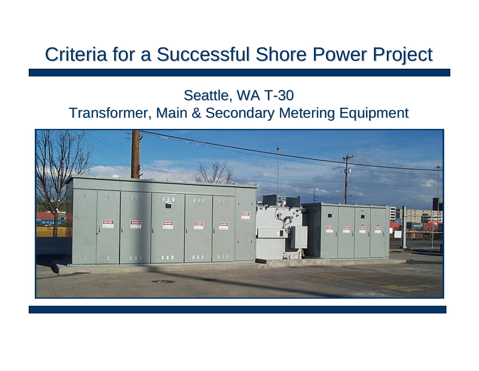#### Seattle, WA T-30 Transformer, Main & Secondary Metering Equipment

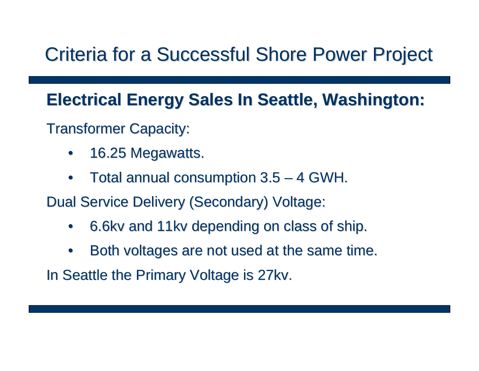#### **Electrical Energy Sales In Seattle, Washington: Electrical Energy Sales In Seattle, Washington:**

**Transformer Capacity:** 

- •16.25 Megawatts.
- • $\bullet$  Total annual consumption 3.5  $\bullet$ – 4 GWH.

Dual Service Delivery (Secondary) Voltage:

- •6.6kv and 11kv depending on class of ship.
- •Both voltages are not used at the same time.

In Seattle the Primary Voltage is 27kv.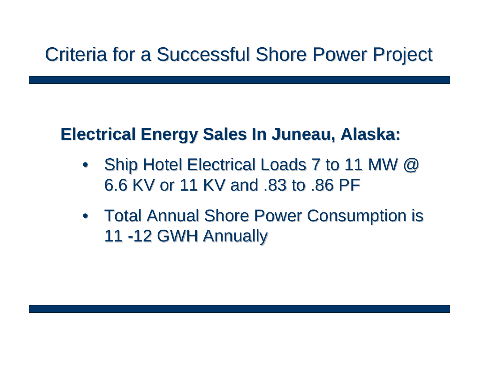#### **Electrical Energy Sales In Juneau, Alaska: Electrical Energy Sales In Juneau, Alaska:**

- •Ship Hotel Electrical Loads 7 to 11 MW @ 6.6 KV or 11 KV and .83 to .86 PF 6.6 KV or 11 KV and .83 to .86 PF
- Total Annual Shore Power Consumption is 11 -12 GWH Annually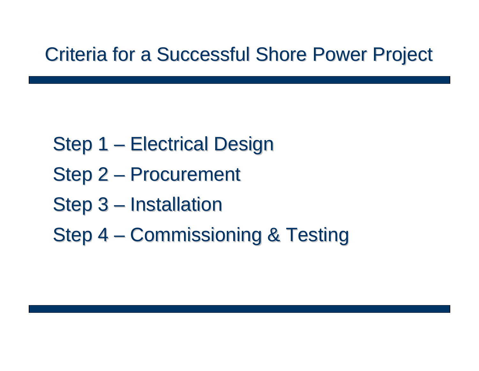- Step 1  $\mathcal{L}_{\mathcal{A}}$  , and the set of  $\mathcal{L}_{\mathcal{A}}$ – Electrical Design
- Step 2  $\mathcal{L}_{\mathcal{A}}$ - Procurement
- Step 3  $\mathcal{L}_{\mathcal{A}}$  , and the set of  $\mathcal{L}_{\mathcal{A}}$ – Installation
- Step 4  $\mathcal{L}_{\mathcal{A}}$  , and the set of  $\mathcal{L}_{\mathcal{A}}$ - Commissioning & Testing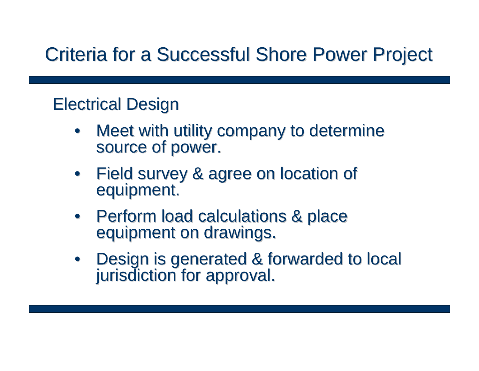### **Electrical Design**

- •Meet with utility company to determine source of power.
- •Field survey & agree on location of equipment.
- Perform load calculations & place<br>equipment on drawings.
- Design is generated & forwarded to local jurisdiction for approval.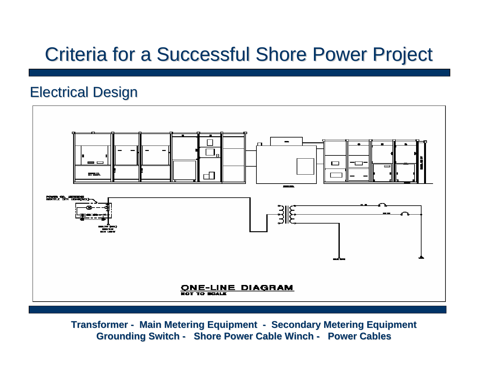#### **Electrical Design**



**Transformer - Main Metering Equipment - Secondary Metering Equipment Grounding Switch - Shore Power Cable Winch - Power Cables**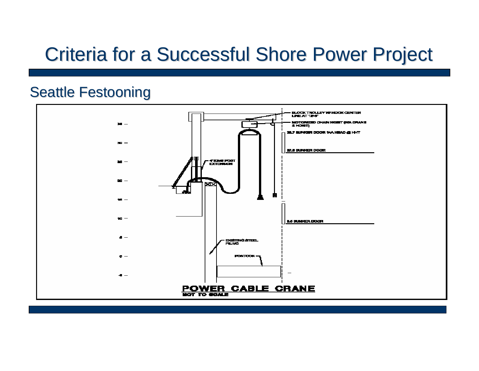#### **Seattle Festooning**

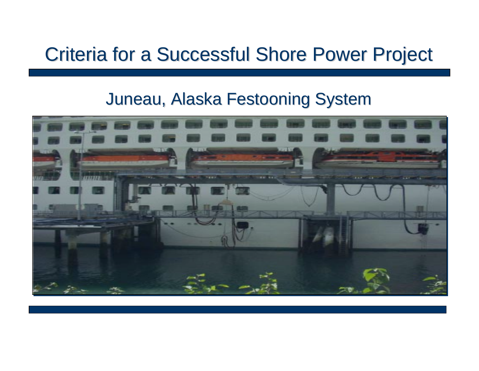#### Juneau, Alaska Festooning System

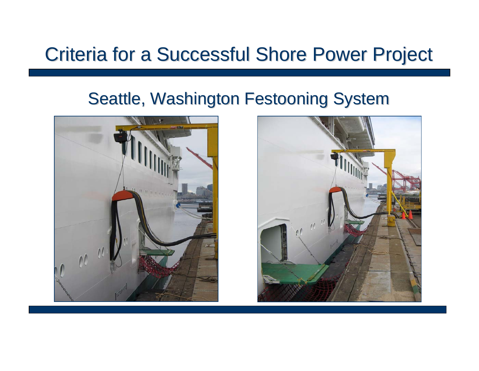#### Seattle, Washington Festooning System



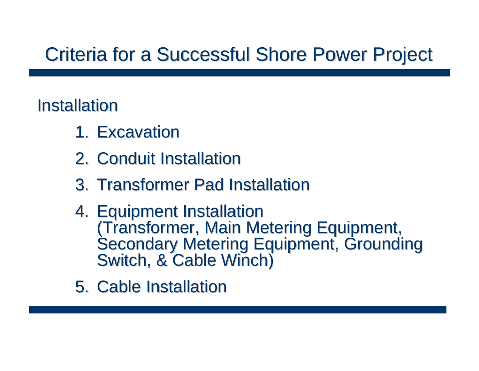### Installation

- 1. Excavation
- 2. Conduit Installation
- 3. Transformer Pad Installation
- 4. Equipment Installation (Transformer, Main Metering Equipment,<br>Secondary Metering Equipment, Grounding<br>Switch, & Cable Winch)
- 5. Cable Installation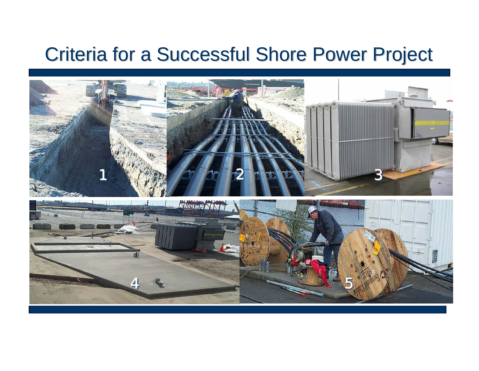

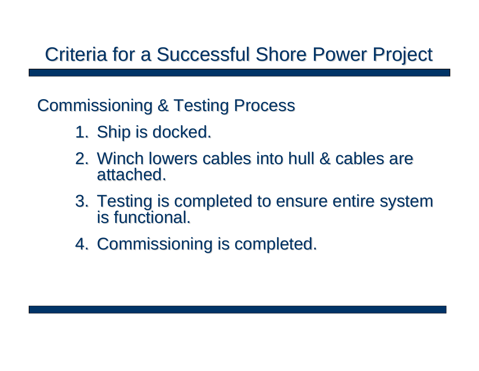**Commissioning & Testing Process** 

- 1. Ship is docked.
- 2. Winch lowers cables into hull & cables are attached.
- 3. Testing is completed to ensure entire system<br>is functional.
- 4. Commissioning is completed.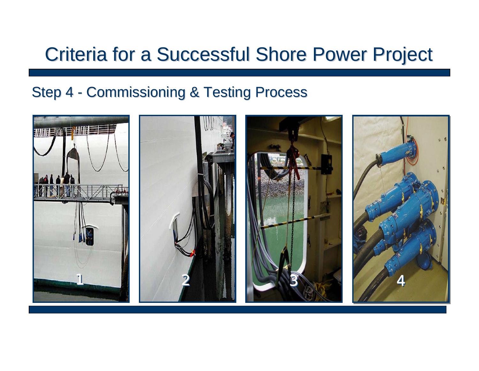#### Step 4  $\mathcal{L}_{\mathcal{A}}$ - Commissioning & Testing Process